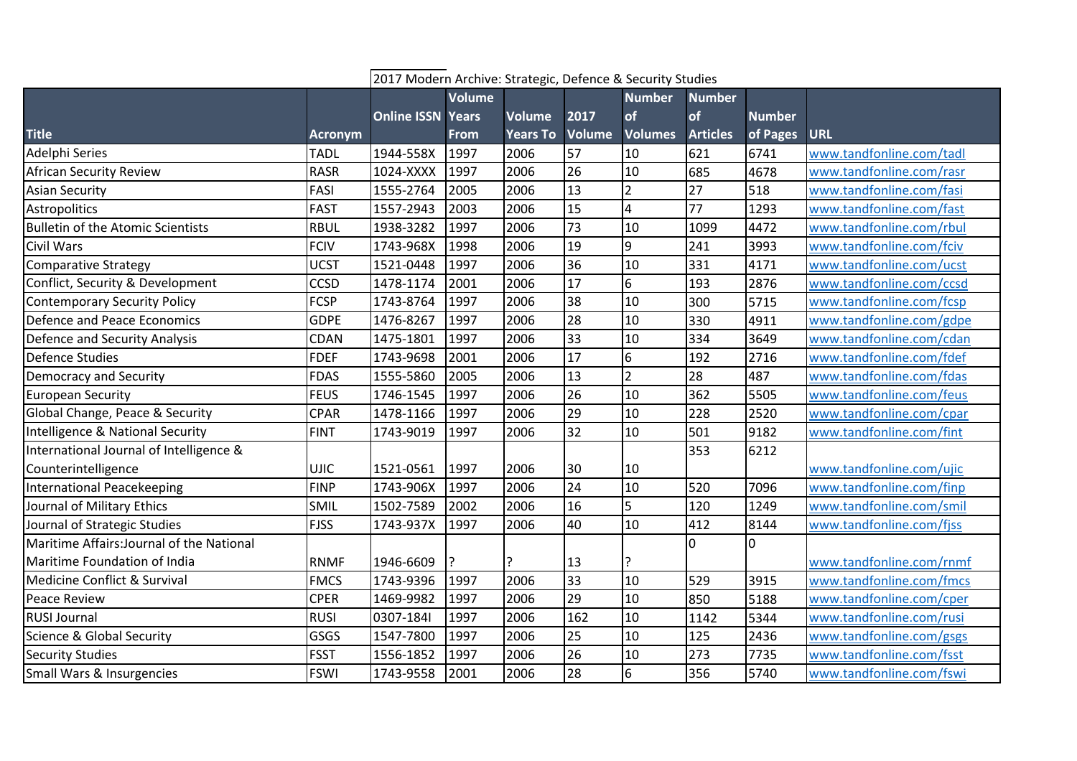|                                           |                | 2017 Modern Archive: Strategic, Defence & Security Studies |        |                 |                 |                         |                 |               |                          |
|-------------------------------------------|----------------|------------------------------------------------------------|--------|-----------------|-----------------|-------------------------|-----------------|---------------|--------------------------|
|                                           |                |                                                            | Volume |                 |                 | <b>Number</b>           | <b>Number</b>   |               |                          |
|                                           |                | <b>Online ISSN Years</b>                                   |        | <b>Volume</b>   | 2017            | of                      | of              | <b>Number</b> |                          |
| <b>Title</b>                              | <b>Acronym</b> |                                                            | From   | <b>Years To</b> | <b>Volume</b>   | <b>Volumes</b>          | <b>Articles</b> | of Pages      | <b>URL</b>               |
| Adelphi Series                            | <b>TADL</b>    | 1944-558X                                                  | 1997   | 2006            | 57              | 10                      | 621             | 6741          | www.tandfonline.com/tadl |
| <b>African Security Review</b>            | <b>RASR</b>    | 1024-XXXX                                                  | 1997   | 2006            | 26              | 10                      | 685             | 4678          | www.tandfonline.com/rasr |
| <b>Asian Security</b>                     | FASI           | 1555-2764                                                  | 2005   | 2006            | 13              | $\overline{2}$          | 27              | 518           | www.tandfonline.com/fasi |
| <b>Astropolitics</b>                      | <b>FAST</b>    | 1557-2943                                                  | 2003   | 2006            | $\overline{15}$ | $\overline{\mathbf{4}}$ | 77              | 1293          | www.tandfonline.com/fast |
| <b>Bulletin of the Atomic Scientists</b>  | <b>RBUL</b>    | 1938-3282                                                  | 1997   | 2006            | 73              | 10                      | 1099            | 4472          | www.tandfonline.com/rbul |
| Civil Wars                                | <b>FCIV</b>    | 1743-968X                                                  | 1998   | 2006            | $\overline{19}$ | $\overline{9}$          | 241             | 3993          | www.tandfonline.com/fciv |
| <b>Comparative Strategy</b>               | <b>UCST</b>    | 1521-0448                                                  | 1997   | 2006            | 36              | 10                      | 331             | 4171          | www.tandfonline.com/ucst |
| Conflict, Security & Development          | CCSD           | 1478-1174                                                  | 2001   | 2006            | $\overline{17}$ | $6\overline{6}$         | 193             | 2876          | www.tandfonline.com/ccsd |
| <b>Contemporary Security Policy</b>       | <b>FCSP</b>    | 1743-8764                                                  | 1997   | 2006            | $\overline{38}$ | 10                      | 300             | 5715          | www.tandfonline.com/fcsp |
| Defence and Peace Economics               | <b>GDPE</b>    | 1476-8267                                                  | 1997   | 2006            | 28              | 10                      | 330             | 4911          | www.tandfonline.com/gdpe |
| Defence and Security Analysis             | <b>CDAN</b>    | 1475-1801                                                  | 1997   | 2006            | 33              | 10                      | 334             | 3649          | www.tandfonline.com/cdan |
| <b>Defence Studies</b>                    | <b>FDEF</b>    | 1743-9698                                                  | 2001   | 2006            | 17              | $6\overline{6}$         | 192             | 2716          | www.tandfonline.com/fdef |
| Democracy and Security                    | <b>FDAS</b>    | 1555-5860                                                  | 2005   | 2006            | 13              | $\overline{2}$          | 28              | 487           | www.tandfonline.com/fdas |
| <b>European Security</b>                  | <b>FEUS</b>    | 1746-1545                                                  | 1997   | 2006            | 26              | 10                      | 362             | 5505          | www.tandfonline.com/feus |
| Global Change, Peace & Security           | <b>CPAR</b>    | 1478-1166                                                  | 1997   | 2006            | 29              | 10                      | 228             | 2520          | www.tandfonline.com/cpar |
| Intelligence & National Security          | <b>FINT</b>    | 1743-9019                                                  | 1997   | 2006            | $\overline{32}$ | 10                      | 501             | 9182          | www.tandfonline.com/fint |
| International Journal of Intelligence &   |                |                                                            |        |                 |                 |                         | 353             | 6212          |                          |
| Counterintelligence                       | <b>UJIC</b>    | 1521-0561                                                  | 1997   | 2006            | 30              | 10                      |                 |               | www.tandfonline.com/ujic |
| International Peacekeeping                | <b>FINP</b>    | 1743-906X                                                  | 1997   | 2006            | 24              | 10                      | 520             | 7096          | www.tandfonline.com/finp |
| Journal of Military Ethics                | SMIL           | 1502-7589                                                  | 2002   | 2006            | 16              | 5                       | 120             | 1249          | www.tandfonline.com/smil |
| Journal of Strategic Studies              | <b>FJSS</b>    | 1743-937X                                                  | 1997   | 2006            | 40              | 10                      | 412             | 8144          | www.tandfonline.com/fjss |
| Maritime Affairs: Journal of the National |                |                                                            |        |                 |                 |                         | 0               | l0            |                          |
| Maritime Foundation of India              | <b>RNMF</b>    | 1946-6609                                                  | ?      | ç.              | 13              |                         |                 |               | www.tandfonline.com/rnmf |
| Medicine Conflict & Survival              | <b>FMCS</b>    | 1743-9396                                                  | 1997   | 2006            | 33              | 10                      | 529             | 3915          | www.tandfonline.com/fmcs |
| <b>Peace Review</b>                       | <b>CPER</b>    | 1469-9982                                                  | 1997   | 2006            | 29              | 10                      | 850             | 5188          | www.tandfonline.com/cper |
| <b>RUSI Journal</b>                       | RUSI           | 0307-1841                                                  | 1997   | 2006            | 162             | 10                      | 1142            | 5344          | www.tandfonline.com/rusi |
| <b>Science &amp; Global Security</b>      | <b>GSGS</b>    | 1547-7800                                                  | 1997   | 2006            | 25              | 10                      | 125             | 2436          | www.tandfonline.com/gsgs |
| <b>Security Studies</b>                   | <b>FSST</b>    | 1556-1852                                                  | 1997   | 2006            | 26              | 10                      | 273             | 7735          | www.tandfonline.com/fsst |
| Small Wars & Insurgencies                 | <b>FSWI</b>    | 1743-9558                                                  | 2001   | 2006            | $\overline{28}$ | $6\overline{6}$         | 356             | 5740          | www.tandfonline.com/fswi |